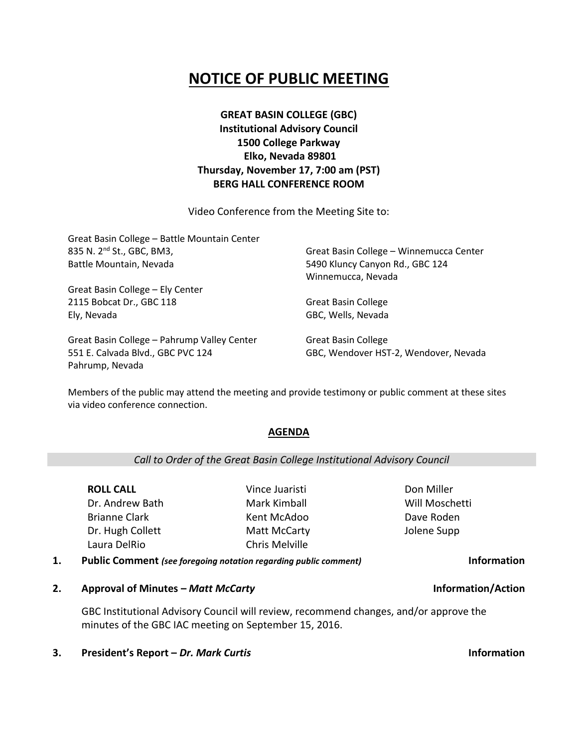# **NOTICE OF PUBLIC MEETING**

## **GREAT BASIN COLLEGE (GBC) Institutional Advisory Council 1500 College Parkway Elko, Nevada 89801 Thursday, November 17, 7:00 am (PST) BERG HALL CONFERENCE ROOM**

Video Conference from the Meeting Site to:

| Great Basin College - Battle Mountain Center |                                         |  |
|----------------------------------------------|-----------------------------------------|--|
| 835 N. 2 <sup>nd</sup> St., GBC, BM3,        | Great Basin College - Winnemucca Center |  |
| Battle Mountain, Nevada                      | 5490 Kluncy Canyon Rd., GBC 124         |  |
|                                              | Winnemucca, Nevada                      |  |
| Great Basin College - Ely Center             |                                         |  |
| 2115 Bobcat Dr., GBC 118                     | <b>Great Basin College</b>              |  |
| Ely, Nevada                                  | GBC, Wells, Nevada                      |  |
| Great Basin College – Pahrump Valley Center  | <b>Great Basin College</b>              |  |

Great Basin College – Pahrump Valley Center 551 E. Calvada Blvd., GBC PVC 124 Pahrump, Nevada

Great Basin College GBC, Wendover HST-2, Wendover, Nevada

Members of the public may attend the meeting and provide testimony or public comment at these sites via video conference connection.

### **AGENDA**

### *Call to Order of the Great Basin College Institutional Advisory Council*

**ROLL CALL** Dr. Andrew Bath Brianne Clark Dr. Hugh Collett Laura DelRio

Vince Juaristi Mark Kimball Kent McAdoo Matt McCarty Chris Melville

Don Miller Will Moschetti Dave Roden Jolene Supp

**1. Public Comment** *(see foregoing notation regarding public comment)* **Information**

**2. Approval of Minutes –** *Matt McCarty* **Information/Action**

GBC Institutional Advisory Council will review, recommend changes, and/or approve the minutes of the GBC IAC meeting on September 15, 2016.

**3. President's Report –** *Dr. Mark Curtis* **Information**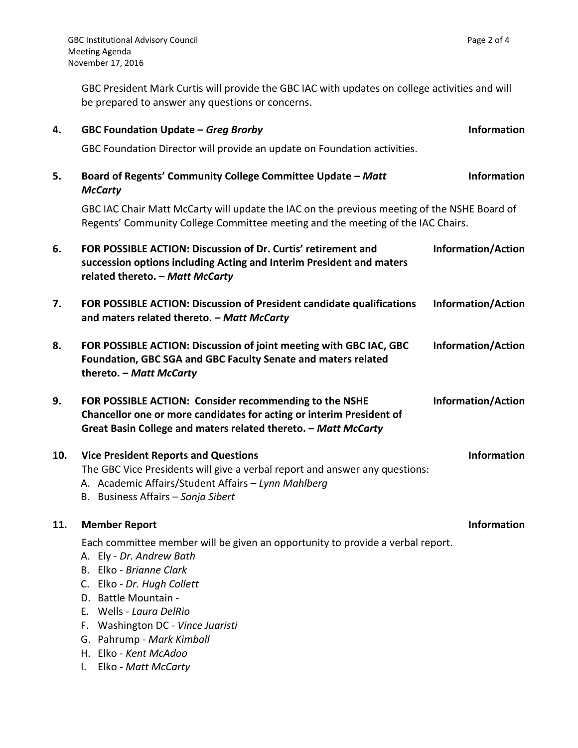GBC President Mark Curtis will provide the GBC IAC with updates on college activities and will be prepared to answer any questions or concerns.

| 4.  | GBC Foundation Update - Greg Brorby                                                                                                                                                                                                                                                                                                                                     | <b>Information</b>        |  |
|-----|-------------------------------------------------------------------------------------------------------------------------------------------------------------------------------------------------------------------------------------------------------------------------------------------------------------------------------------------------------------------------|---------------------------|--|
|     | GBC Foundation Director will provide an update on Foundation activities.                                                                                                                                                                                                                                                                                                |                           |  |
| 5.  | Board of Regents' Community College Committee Update - Matt<br><b>McCarty</b>                                                                                                                                                                                                                                                                                           | <b>Information</b>        |  |
|     | GBC IAC Chair Matt McCarty will update the IAC on the previous meeting of the NSHE Board of<br>Regents' Community College Committee meeting and the meeting of the IAC Chairs.                                                                                                                                                                                          |                           |  |
| 6.  | FOR POSSIBLE ACTION: Discussion of Dr. Curtis' retirement and<br>succession options including Acting and Interim President and maters<br>related thereto. - Matt McCarty                                                                                                                                                                                                | <b>Information/Action</b> |  |
| 7.  | FOR POSSIBLE ACTION: Discussion of President candidate qualifications<br>and maters related thereto. - Matt McCarty                                                                                                                                                                                                                                                     | <b>Information/Action</b> |  |
| 8.  | FOR POSSIBLE ACTION: Discussion of joint meeting with GBC IAC, GBC<br>Foundation, GBC SGA and GBC Faculty Senate and maters related<br>thereto. - Matt McCarty                                                                                                                                                                                                          | <b>Information/Action</b> |  |
| 9.  | FOR POSSIBLE ACTION: Consider recommending to the NSHE<br>Chancellor one or more candidates for acting or interim President of<br>Great Basin College and maters related thereto. - Matt McCarty                                                                                                                                                                        | <b>Information/Action</b> |  |
| 10. | <b>Vice President Reports and Questions</b><br>The GBC Vice Presidents will give a verbal report and answer any questions:<br>A. Academic Affairs/Student Affairs - Lynn Mahlberg<br>B. Business Affairs - Sonja Sibert                                                                                                                                                 | Information               |  |
| 11. | <b>Member Report</b>                                                                                                                                                                                                                                                                                                                                                    | <b>Information</b>        |  |
|     | Each committee member will be given an opportunity to provide a verbal report.<br>Ely - Dr. Andrew Bath<br>Elko - Brianne Clark<br>B.<br>Elko - Dr. Hugh Collett<br>C.<br><b>Battle Mountain -</b><br>D.<br>Wells - Laura DelRio<br>Е.<br>Washington DC - Vince Juaristi<br>F.<br>Pahrump - Mark Kimball<br>G.<br>Elko - Kent McAdoo<br>Н.<br>Elko - Matt McCarty<br>I. |                           |  |
|     |                                                                                                                                                                                                                                                                                                                                                                         |                           |  |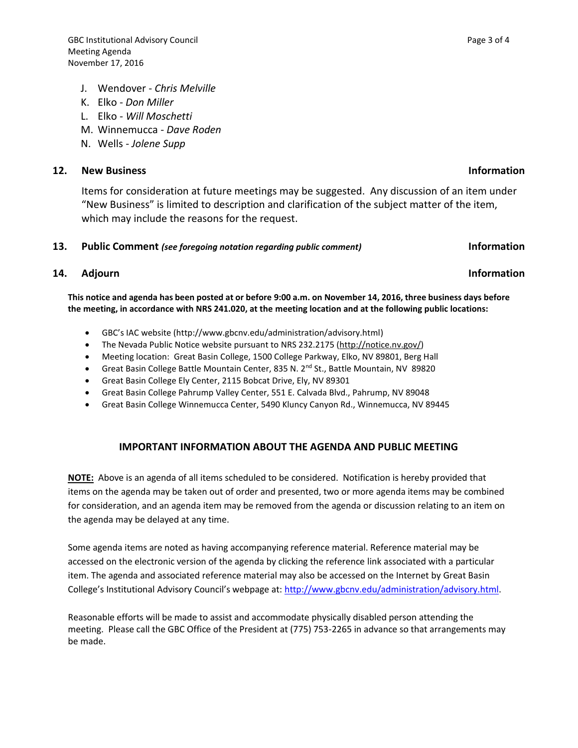- J. Wendover *Chris Melville*
- K. Elko *Don Miller*
- L. Elko *Will Moschetti*
- M. Winnemucca *Dave Roden*
- N. Wells *Jolene Supp*

### **12. New Business Information**

Items for consideration at future meetings may be suggested. Any discussion of an item under "New Business" is limited to description and clarification of the subject matter of the item, which may include the reasons for the request.

#### **13. Public Comment** *(see foregoing notation regarding public comment)* **Information**

### **14.** Adjourn **Information**

**This notice and agenda has been posted at or before 9:00 a.m. on November 14, 2016, three business days before the meeting, in accordance with NRS 241.020, at the meeting location and at the following public locations:**

- GBC's IAC website (http://www.gbcnv.edu/administration/advisory.html)
- The Nevada Public Notice website pursuant to NRS 232.2175 [\(http://notice.nv.gov/\)](http://notice.nv.gov/)
- Meeting location: Great Basin College, 1500 College Parkway, Elko, NV 89801, Berg Hall
- Great Basin College Battle Mountain Center, 835 N. 2<sup>nd</sup> St., Battle Mountain, NV 89820
- Great Basin College Ely Center, 2115 Bobcat Drive, Ely, NV 89301
- Great Basin College Pahrump Valley Center, 551 E. Calvada Blvd., Pahrump, NV 89048
- Great Basin College Winnemucca Center, 5490 Kluncy Canyon Rd., Winnemucca, NV 89445

### **IMPORTANT INFORMATION ABOUT THE AGENDA AND PUBLIC MEETING**

**NOTE:** Above is an agenda of all items scheduled to be considered. Notification is hereby provided that items on the agenda may be taken out of order and presented, two or more agenda items may be combined for consideration, and an agenda item may be removed from the agenda or discussion relating to an item on the agenda may be delayed at any time.

Some agenda items are noted as having accompanying reference material. Reference material may be accessed on the electronic version of the agenda by clicking the reference link associated with a particular item. The agenda and associated reference material may also be accessed on the Internet by Great Basin College's Institutional Advisory Council's webpage at: [http://www.gbcnv.edu/administration/advisory.html.](http://www.gbcnv.edu/administration/advisory.html)

Reasonable efforts will be made to assist and accommodate physically disabled person attending the meeting. Please call the GBC Office of the President at (775) 753-2265 in advance so that arrangements may be made.